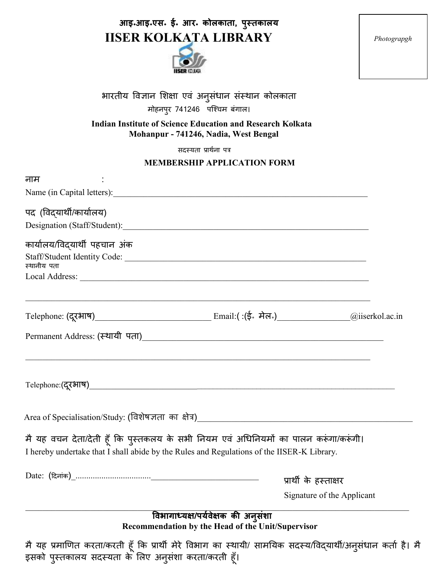## **आइ॰आइ॰एस॰ ई॰ आर॰ कोलकाता, पुस्तकालय IISER KOLKATA LIBRARY**



*Photograpgh* 

|  |  |                               | भारतीय विज्ञान शिक्षा एवं अनुसंधान संस्थान कोलकाता |
|--|--|-------------------------------|----------------------------------------------------|
|  |  | मोहनपुर 741246  पश्चिम बंगाल। |                                                    |

**Indian Institute of Science Education and Research Kolkata Mohanpur - 741246, Nadia, West Bengal** 

सदस्यता प्रार्थना पत्र

## **MEMBERSHIP APPLICATION FORM**

|                                                                                                                                                                                                                                     | MEMBERSHIF AFFLICATION FORM                       |                            |
|-------------------------------------------------------------------------------------------------------------------------------------------------------------------------------------------------------------------------------------|---------------------------------------------------|----------------------------|
| नाम                                                                                                                                                                                                                                 |                                                   |                            |
|                                                                                                                                                                                                                                     |                                                   |                            |
| पद (विद्यार्थी/कार्यालय)                                                                                                                                                                                                            |                                                   |                            |
|                                                                                                                                                                                                                                     |                                                   |                            |
| कार्यालय/विद्यार्थी पहचान अंक                                                                                                                                                                                                       |                                                   |                            |
| Staff/Student Identity Code:                                                                                                                                                                                                        |                                                   |                            |
| स्थानीय पता                                                                                                                                                                                                                         |                                                   |                            |
|                                                                                                                                                                                                                                     |                                                   |                            |
|                                                                                                                                                                                                                                     |                                                   |                            |
| Permanent Address: (स्थायी पता) <u>and a superior and a set of the set of the set of the set of the set of the set of the set of the set of the set of the set of the set of the set of the set of the set of the set of the se</u> |                                                   |                            |
|                                                                                                                                                                                                                                     |                                                   |                            |
|                                                                                                                                                                                                                                     |                                                   |                            |
|                                                                                                                                                                                                                                     |                                                   |                            |
| मै यह वचन देता/देती हूँ कि पुस्तकलय के सभी नियम एवं अधिनियमों का पालन करूंगा/करूंगी।                                                                                                                                                |                                                   |                            |
| I hereby undertake that I shall abide by the Rules and Regulations of the IISER-K Library.                                                                                                                                          |                                                   |                            |
|                                                                                                                                                                                                                                     | प्रार्थी के हस्ताक्षर                             |                            |
|                                                                                                                                                                                                                                     |                                                   | Signature of the Applicant |
|                                                                                                                                                                                                                                     | विभागाध्यक्ष/पर्यवेक्षक की अनुसंशा                |                            |
|                                                                                                                                                                                                                                     | Recommendation by the Head of the Unit/Supervisor |                            |
| मै यह प्रमाणित करता/करती हूँ कि प्रार्थी मेरे विभाग का स्थायी/ सामयिक सदस्य/विद्यार्थी/अनुसंधान कर्ता है। मै                                                                                                                        |                                                   |                            |

इसको पुस्तकालय सदस्यता के लिए अनुसंशा करता/करती हूँ।